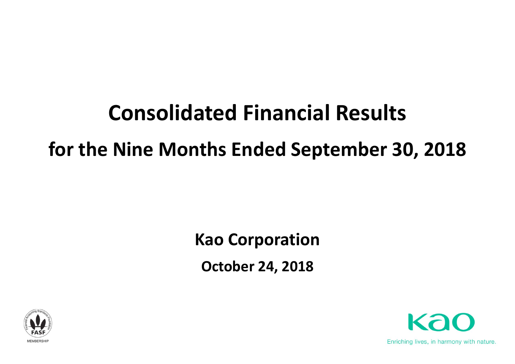# **Consolidated Financial Results for the Nine Months Ended September 30, 2018**

**Kao Corporation October 24, 2018**



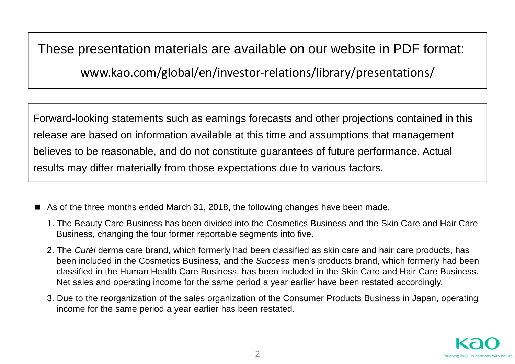These presentation materials are available on our website in PDF format:

www.kao.com/global/en/investor‐relations/library/presentations/

Forward-looking statements such as earnings forecasts and other projections contained in this release are based on information available at this time and assumptions that management believes to be reasonable, and do not constitute guarantees of future performance. Actual results may differ materially from those expectations due to various factors.

- As of the three months ended March 31, 2018, the following changes have been made.
	- 1. The Beauty Care Business has been divided into the Cosmetics Business and the Skin Care and Hair Care Business, changing the four former reportable segments into five.
	- 2. The *Curél* derma care brand, which formerly had been classified as skin care and hair care products, has been included in the Cosmetics Business, and the *Success* men's products brand, which formerly had been classified in the Human Health Care Business, has been included in the Skin Care and Hair Care Business. Net sales and operating income for the same period a year earlier have been restated accordingly.
	- 3. Due to the reorganization of the sales organization of the Consumer Products Business in Japan, operating income for the same period a year earlier has been restated.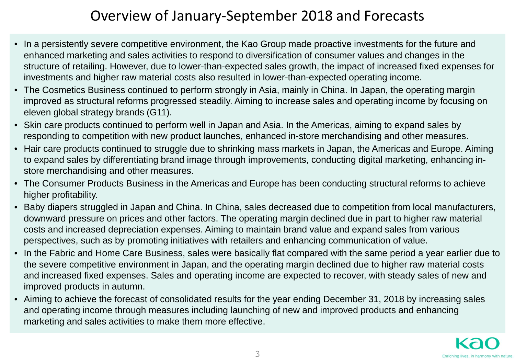### Overview of January‐September 2018 and Forecasts

- In a persistently severe competitive environment, the Kao Group made proactive investments for the future and enhanced marketing and sales activities to respond to diversification of consumer values and changes in the structure of retailing. However, due to lower-than-expected sales growth, the impact of increased fixed expenses for investments and higher raw material costs also resulted in lower-than-expected operating income.
- The Cosmetics Business continued to perform strongly in Asia, mainly in China. In Japan, the operating margin improved as structural reforms progressed steadily. Aiming to increase sales and operating income by focusing on eleven global strategy brands (G11).
- Skin care products continued to perform well in Japan and Asia. In the Americas, aiming to expand sales by responding to competition with new product launches, enhanced in-store merchandising and other measures.
- Hair care products continued to struggle due to shrinking mass markets in Japan, the Americas and Europe. Aiming to expand sales by differentiating brand image through improvements, conducting digital marketing, enhancing instore merchandising and other measures.
- The Consumer Products Business in the Americas and Europe has been conducting structural reforms to achieve higher profitability.
- Baby diapers struggled in Japan and China. In China, sales decreased due to competition from local manufacturers, downward pressure on prices and other factors. The operating margin declined due in part to higher raw material costs and increased depreciation expenses. Aiming to maintain brand value and expand sales from various perspectives, such as by promoting initiatives with retailers and enhancing communication of value.
- In the Fabric and Home Care Business, sales were basically flat compared with the same period a year earlier due to the severe competitive environment in Japan, and the operating margin declined due to higher raw material costs and increased fixed expenses. Sales and operating income are expected to recover, with steady sales of new and improved products in autumn.
- Aiming to achieve the forecast of consolidated results for the year ending December 31, 2018 by increasing sales and operating income through measures including launching of new and improved products and enhancing marketing and sales activities to make them more effective.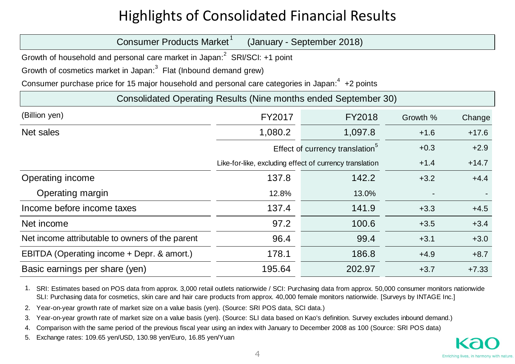# Highlights of Consolidated Financial Results

| Consumer Products Market <sup>1</sup>                                                               |                                                         | (January - September 2018)                  |          |         |
|-----------------------------------------------------------------------------------------------------|---------------------------------------------------------|---------------------------------------------|----------|---------|
| Growth of household and personal care market in Japan: <sup>2</sup> SRI/SCI: +1 point               |                                                         |                                             |          |         |
| Growth of cosmetics market in Japan: <sup>3</sup> Flat (Inbound demand grew)                        |                                                         |                                             |          |         |
| Consumer purchase price for 15 major household and personal care categories in Japan: $4$ +2 points |                                                         |                                             |          |         |
| Consolidated Operating Results (Nine months ended September 30)                                     |                                                         |                                             |          |         |
| (Billion yen)                                                                                       | FY2017                                                  | FY2018                                      | Growth % | Change  |
| Net sales                                                                                           | 1,080.2                                                 | 1,097.8                                     | $+1.6$   | $+17.6$ |
|                                                                                                     |                                                         | Effect of currency translation <sup>5</sup> | $+0.3$   | $+2.9$  |
|                                                                                                     | Like-for-like, excluding effect of currency translation |                                             | $+1.4$   | $+14.7$ |
| Operating income                                                                                    | 137.8                                                   | 142.2                                       | $+3.2$   | $+4.4$  |
| Operating margin                                                                                    | 12.8%                                                   | 13.0%                                       |          |         |
| Income before income taxes                                                                          | 137.4                                                   | 141.9                                       | $+3.3$   | $+4.5$  |
| Net income                                                                                          | 97.2                                                    | 100.6                                       | $+3.5$   | $+3.4$  |
| Net income attributable to owners of the parent                                                     | 96.4                                                    | 99.4                                        | $+3.1$   | $+3.0$  |
| EBITDA (Operating income + Depr. & amort.)                                                          | 178.1                                                   | 186.8                                       | $+4.9$   | $+8.7$  |
| Basic earnings per share (yen)                                                                      | 195.64                                                  | 202.97                                      | $+3.7$   | $+7.33$ |

1. SRI: Estimates based on POS data from approx. 3,000 retail outlets nationwide / SCI: Purchasing data from approx. 50,000 consumer monitors nationwide SLI: Purchasing data for cosmetics, skin care and hair care products from approx. 40,000 female monitors nationwide. [Surveys by INTAGE Inc.]

2. Year-on-year growth rate of market size on a value basis (yen). (Source: SRI POS data, SCI data.)

3. Year-on-year growth rate of market size on a value basis (yen). (Source: SLI data based on Kao's definition. Survey excludes inbound demand.)

4.Comparison with the same period of the previous fiscal year using an index with January to December 2008 as 100 (Source: SRI POS data)

5. Exchange rates: 109.65 yen/USD, 130.98 yen/Euro, 16.85 yen/Yuan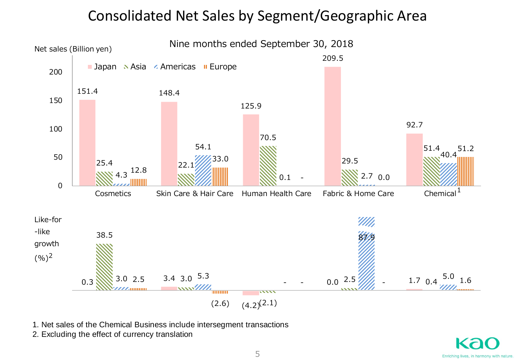#### Consolidated Net Sales by Segment/Geographic Area



1. Net sales of the Chemical Business include intersegment transactions

2. Excluding the effect of currency translation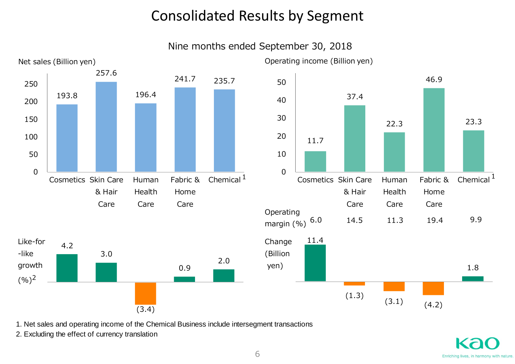## Consolidated Results by Segment

Nine months ended September 30, 2018



1. Net sales and operating income of the Chemical Business include intersegment transactions

2. Excluding the effect of currency translation

1.8

23.3

Chemical  $^1$ 

46.9

Fabric &

Home

Care